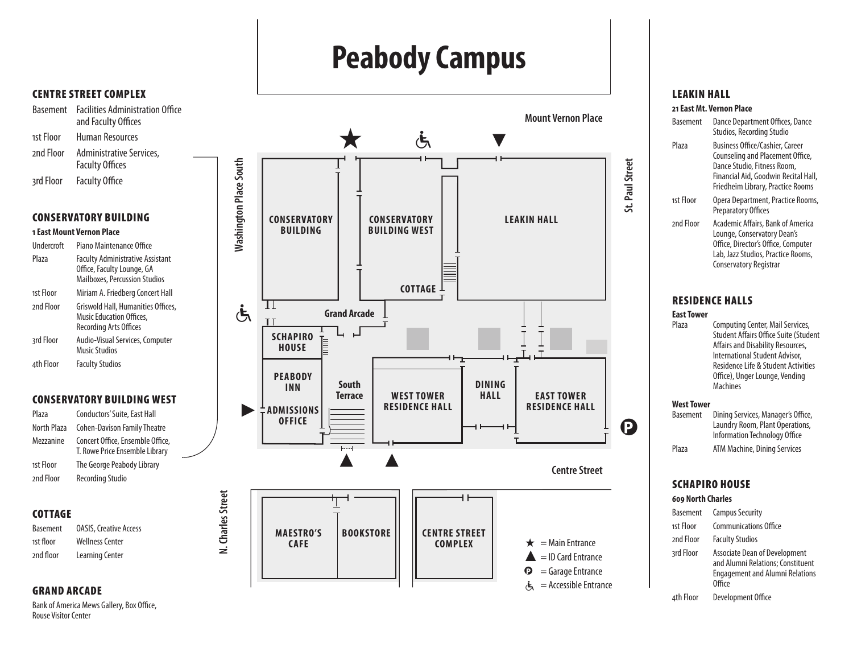# **Peabody Campus**



Basement Facilities Administration Office and Faculty Offices 1st Floor Human Resources 2nd Floor Administrative Services,

Faculty Offices 3rd Floor Faculty Office

#### Conservatory Building

#### **1 East Mount Vernon Place**

| Undercroft | Piano Maintenance Office                                                                                      |
|------------|---------------------------------------------------------------------------------------------------------------|
| Plaza      | <b>Faculty Administrative Assistant</b><br>Office, Faculty Lounge, GA<br><b>Mailboxes, Percussion Studios</b> |
| 1st Floor  | Miriam A. Friedberg Concert Hall                                                                              |
| 2nd Floor  | Griswold Hall, Humanities Offices,<br><b>Music Education Offices,</b><br>Recording Arts Offices               |
| 3rd Floor  | Audio-Visual Services, Computer<br>Music Studios                                                              |
| 4th Floor  | <b>Faculty Studios</b>                                                                                        |
|            |                                                                                                               |

#### Conservatory Building West

| Conductors' Suite, East Hall                                       |
|--------------------------------------------------------------------|
| <b>Cohen-Davison Family Theatre</b>                                |
| Concert Office, Ensemble Office,<br>T. Rowe Price Ensemble Library |
| The George Peabody Library                                         |
| <b>Recording Studio</b>                                            |
|                                                                    |

# **COTTAGE**

| <b>Basement</b> | <b>OASIS, Creative Access</b> |
|-----------------|-------------------------------|
| 1st floor       | <b>Wellness Center</b>        |
| 2nd floor       | Learning Center               |

## Grand Arcade

Bank of America Mews Gallery, Box Office, Rouse Visitor Center



#### Leakin Hall

**21 East Mt. Vernon Place**

| Basement  | Dance Department Offices, Dance<br>Studios, Recording Studio                                                                                                                    |
|-----------|---------------------------------------------------------------------------------------------------------------------------------------------------------------------------------|
| Plaza     | Business Office/Cashier, Career<br>Counseling and Placement Office,<br>Dance Studio, Fitness Room,<br>Financial Aid, Goodwin Recital Hall,<br>Friedheim Library, Practice Rooms |
| 1st Floor | Opera Department, Practice Rooms,<br><b>Preparatory Offices</b>                                                                                                                 |
| 2nd Floor | Academic Affairs, Bank of America<br>Lounge, Conservatory Dean's<br>Office, Director's Office, Computer<br>Lab, Jazz Studios, Practice Rooms,<br>Conservatory Registrar         |

## Residence Halls

#### **East Tower**

Plaza Computing Center, Mail Services, Student Affairs Office Suite (Student Affairs and Disability Resources, International Student Advisor, Residence Life & Student Activities Office), Unger Lounge, Vending Machines

# **West Tower**

| Basement | Dining Services, Manager's Office,<br>Laundry Room, Plant Operations, |
|----------|-----------------------------------------------------------------------|
|          | Information Technology Office                                         |
| Plaza    | ATM Machine, Dining Services                                          |

# SCHAPIRO HOUSE

#### **609 North Charles**

| Basement   | <b>Campus Security</b>                                                                                                        |
|------------|-------------------------------------------------------------------------------------------------------------------------------|
| 1st Floor  | <b>Communications Office</b>                                                                                                  |
| 2nd Floor  | <b>Faculty Studios</b>                                                                                                        |
| शर्व Floor | <b>Associate Dean of Development</b><br>and Alumni Relations; Constituent<br><b>Engagement and Alumni Relations</b><br>Office |
| 4th Floor  | Development Office                                                                                                            |